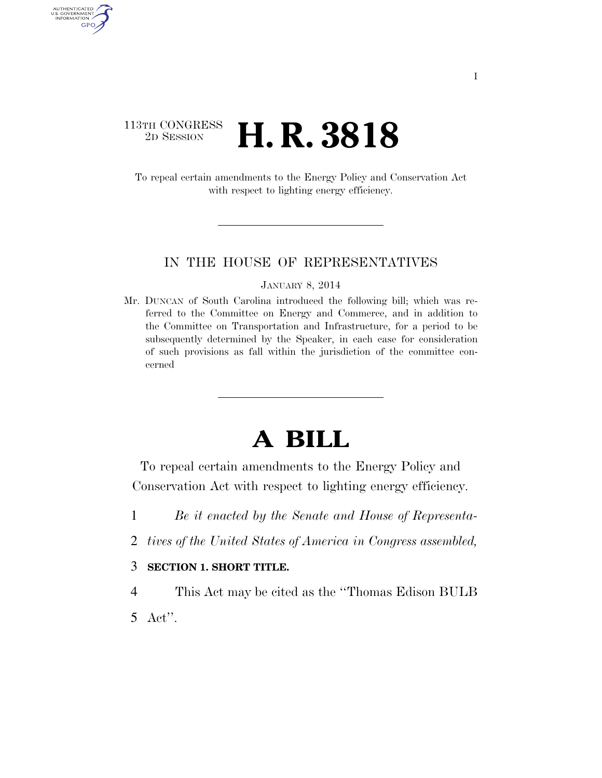## $\begin{array}{c} \textbf{113TH CONGRESS} \\ \textbf{2D} \textbf{Session} \end{array}$ 2D SESSION **H. R. 3818**

AUTHENTICATED<br>U.S. GOVERNMENT<br>INFORMATION GPO

> To repeal certain amendments to the Energy Policy and Conservation Act with respect to lighting energy efficiency.

#### IN THE HOUSE OF REPRESENTATIVES

#### JANUARY 8, 2014

Mr. DUNCAN of South Carolina introduced the following bill; which was referred to the Committee on Energy and Commerce, and in addition to the Committee on Transportation and Infrastructure, for a period to be subsequently determined by the Speaker, in each case for consideration of such provisions as fall within the jurisdiction of the committee concerned

# **A BILL**

To repeal certain amendments to the Energy Policy and Conservation Act with respect to lighting energy efficiency.

- 1 *Be it enacted by the Senate and House of Representa-*
- 2 *tives of the United States of America in Congress assembled,*
- 3 **SECTION 1. SHORT TITLE.**
- 4 This Act may be cited as the ''Thomas Edison BULB 5 Act''.